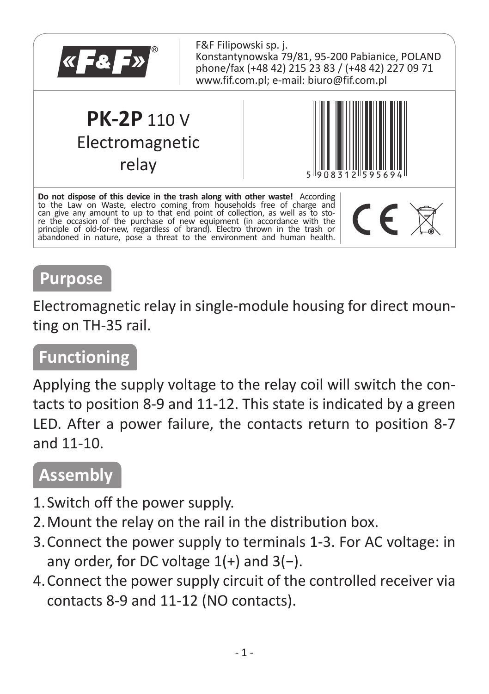

### **Purpose**

Electromagnetic relay in single-module housing for direct mounting on TH-35 rail.

#### **Functioning**

Applying the supply voltage to the relay coil will switch the contacts to position 8-9 and 11-12. This state is indicated by a green LED. After a power failure, the contacts return to position 8-7 and 11-10.

### **Assembly**

- 1.Switch off the power supply.
- 2.Mount the relay on the rail in the distribution box.
- 3.Connect the power supply to terminals 1-3. For AC voltage: in any order, for DC voltage 1(+) and 3(−).
- 4.Connect the power supply circuit of the controlled receiver via contacts 8-9 and 11-12 (NO contacts).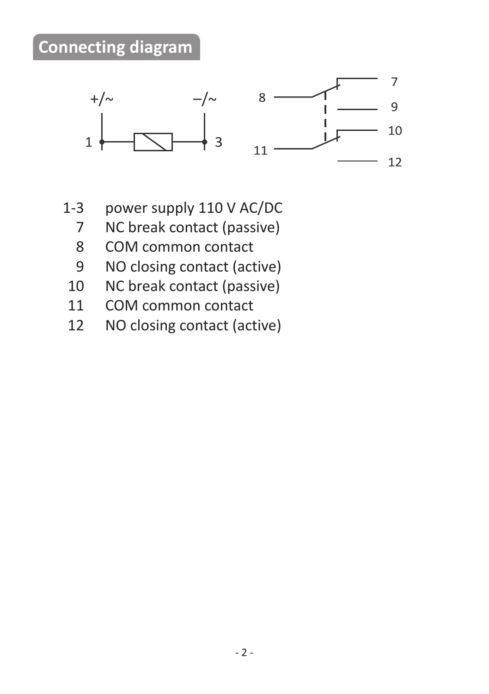## **Connecting diagram**



- 1-3 power supply 110 V AC/DC
	- 7 NC break contact (passive)<br>8 COM common contact
	- COM common contact
	- 9 NO closing contact (active)
- 10 NC break contact (passive)<br>11 COM common contact
- 11 COM common contact<br>12 NO closing contact (act
- NO closing contact (active)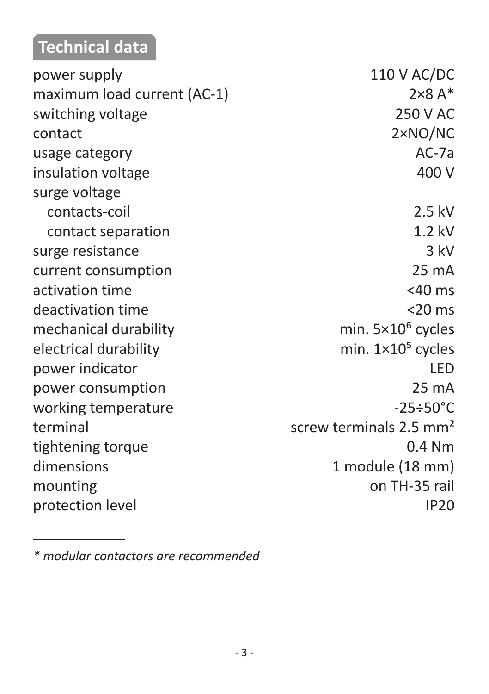# **Technical data**

| power supply                | 110 V AC/DC                         |
|-----------------------------|-------------------------------------|
| maximum load current (AC-1) | $2\times8$ A*                       |
| switching voltage           | 250 V AC                            |
| contact                     | $2\times NO/NC$                     |
| usage category              | $AC-7a$                             |
| insulation voltage          | 400 V                               |
| surge voltage               |                                     |
| contacts-coil               | 2.5 kV                              |
| contact separation          | $1.2$ kV                            |
| surge resistance            | 3 kV                                |
| current consumption         | 25 mA                               |
| activation time             | $<$ 40 ms                           |
| deactivation time           | $<$ 20 $ms$                         |
| mechanical durability       | min. $5 \times 10^6$ cycles         |
| electrical durability       | min. $1 \times 10^5$ cycles         |
| power indicator             | LED                                 |
| power consumption           | 25 mA                               |
| working temperature         | $-25 \div 50^{\circ}$ C             |
| terminal                    | screw terminals 2.5 mm <sup>2</sup> |
| tightening torque           | $0.4$ Nm                            |
| dimensions                  | 1 module (18 mm)                    |
| mounting                    | on TH-35 rail                       |
| protection level            | <b>IP20</b>                         |
|                             |                                     |

*<sup>\*</sup> modular contactors are recommended*

**Contract Contract**